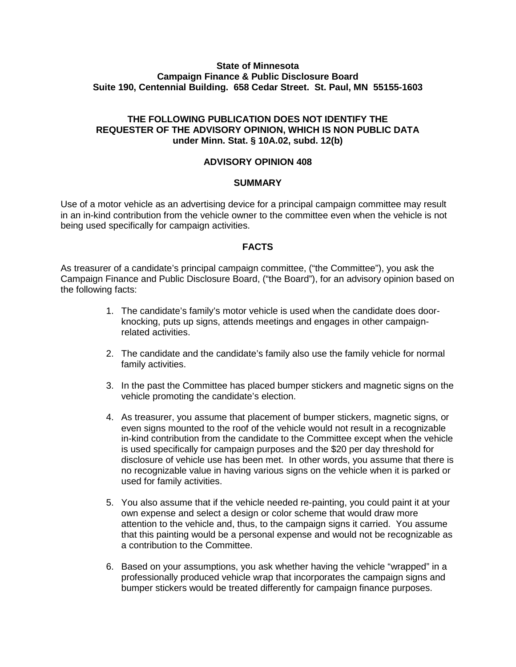### **State of Minnesota Campaign Finance & Public Disclosure Board Suite 190, Centennial Building. 658 Cedar Street. St. Paul, MN 55155-1603**

# **THE FOLLOWING PUBLICATION DOES NOT IDENTIFY THE REQUESTER OF THE ADVISORY OPINION, WHICH IS NON PUBLIC DATA under Minn. Stat. § 10A.02, subd. 12(b)**

# **ADVISORY OPINION 408**

### **SUMMARY**

Use of a motor vehicle as an advertising device for a principal campaign committee may result in an in-kind contribution from the vehicle owner to the committee even when the vehicle is not being used specifically for campaign activities.

## **FACTS**

As treasurer of a candidate's principal campaign committee, ("the Committee"), you ask the Campaign Finance and Public Disclosure Board, ("the Board"), for an advisory opinion based on the following facts:

- 1. The candidate's family's motor vehicle is used when the candidate does doorknocking, puts up signs, attends meetings and engages in other campaignrelated activities.
- 2. The candidate and the candidate's family also use the family vehicle for normal family activities.
- 3. In the past the Committee has placed bumper stickers and magnetic signs on the vehicle promoting the candidate's election.
- 4. As treasurer, you assume that placement of bumper stickers, magnetic signs, or even signs mounted to the roof of the vehicle would not result in a recognizable in-kind contribution from the candidate to the Committee except when the vehicle is used specifically for campaign purposes and the \$20 per day threshold for disclosure of vehicle use has been met. In other words, you assume that there is no recognizable value in having various signs on the vehicle when it is parked or used for family activities.
- 5. You also assume that if the vehicle needed re-painting, you could paint it at your own expense and select a design or color scheme that would draw more attention to the vehicle and, thus, to the campaign signs it carried. You assume that this painting would be a personal expense and would not be recognizable as a contribution to the Committee.
- 6. Based on your assumptions, you ask whether having the vehicle "wrapped" in a professionally produced vehicle wrap that incorporates the campaign signs and bumper stickers would be treated differently for campaign finance purposes.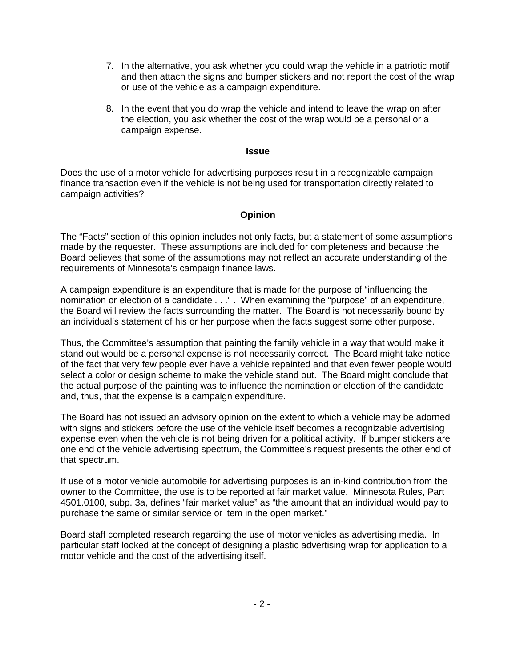- 7. In the alternative, you ask whether you could wrap the vehicle in a patriotic motif and then attach the signs and bumper stickers and not report the cost of the wrap or use of the vehicle as a campaign expenditure.
- 8. In the event that you do wrap the vehicle and intend to leave the wrap on after the election, you ask whether the cost of the wrap would be a personal or a campaign expense.

#### **Issue**

Does the use of a motor vehicle for advertising purposes result in a recognizable campaign finance transaction even if the vehicle is not being used for transportation directly related to campaign activities?

## **Opinion**

The "Facts" section of this opinion includes not only facts, but a statement of some assumptions made by the requester. These assumptions are included for completeness and because the Board believes that some of the assumptions may not reflect an accurate understanding of the requirements of Minnesota's campaign finance laws.

A campaign expenditure is an expenditure that is made for the purpose of "influencing the nomination or election of a candidate . . ." . When examining the "purpose" of an expenditure, the Board will review the facts surrounding the matter. The Board is not necessarily bound by an individual's statement of his or her purpose when the facts suggest some other purpose.

Thus, the Committee's assumption that painting the family vehicle in a way that would make it stand out would be a personal expense is not necessarily correct. The Board might take notice of the fact that very few people ever have a vehicle repainted and that even fewer people would select a color or design scheme to make the vehicle stand out. The Board might conclude that the actual purpose of the painting was to influence the nomination or election of the candidate and, thus, that the expense is a campaign expenditure.

The Board has not issued an advisory opinion on the extent to which a vehicle may be adorned with signs and stickers before the use of the vehicle itself becomes a recognizable advertising expense even when the vehicle is not being driven for a political activity. If bumper stickers are one end of the vehicle advertising spectrum, the Committee's request presents the other end of that spectrum.

If use of a motor vehicle automobile for advertising purposes is an in-kind contribution from the owner to the Committee, the use is to be reported at fair market value. Minnesota Rules, Part 4501.0100, subp. 3a, defines "fair market value" as "the amount that an individual would pay to purchase the same or similar service or item in the open market."

Board staff completed research regarding the use of motor vehicles as advertising media. In particular staff looked at the concept of designing a plastic advertising wrap for application to a motor vehicle and the cost of the advertising itself.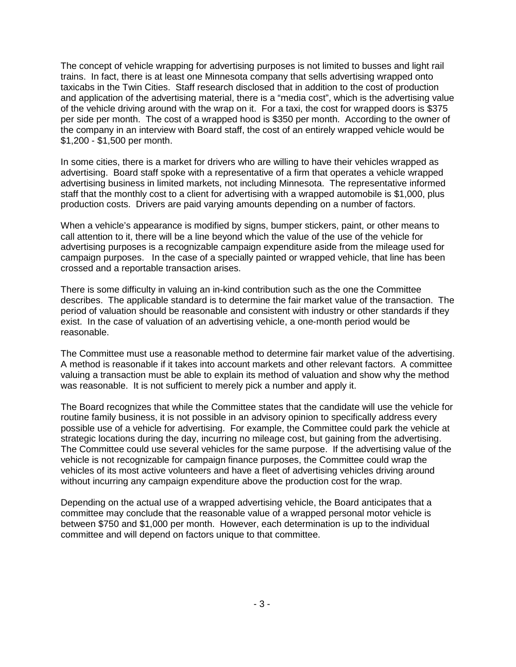The concept of vehicle wrapping for advertising purposes is not limited to busses and light rail trains. In fact, there is at least one Minnesota company that sells advertising wrapped onto taxicabs in the Twin Cities. Staff research disclosed that in addition to the cost of production and application of the advertising material, there is a "media cost", which is the advertising value of the vehicle driving around with the wrap on it. For a taxi, the cost for wrapped doors is \$375 per side per month. The cost of a wrapped hood is \$350 per month. According to the owner of the company in an interview with Board staff, the cost of an entirely wrapped vehicle would be \$1,200 - \$1,500 per month.

In some cities, there is a market for drivers who are willing to have their vehicles wrapped as advertising. Board staff spoke with a representative of a firm that operates a vehicle wrapped advertising business in limited markets, not including Minnesota. The representative informed staff that the monthly cost to a client for advertising with a wrapped automobile is \$1,000, plus production costs. Drivers are paid varying amounts depending on a number of factors.

When a vehicle's appearance is modified by signs, bumper stickers, paint, or other means to call attention to it, there will be a line beyond which the value of the use of the vehicle for advertising purposes is a recognizable campaign expenditure aside from the mileage used for campaign purposes. In the case of a specially painted or wrapped vehicle, that line has been crossed and a reportable transaction arises.

There is some difficulty in valuing an in-kind contribution such as the one the Committee describes. The applicable standard is to determine the fair market value of the transaction. The period of valuation should be reasonable and consistent with industry or other standards if they exist. In the case of valuation of an advertising vehicle, a one-month period would be reasonable.

The Committee must use a reasonable method to determine fair market value of the advertising. A method is reasonable if it takes into account markets and other relevant factors. A committee valuing a transaction must be able to explain its method of valuation and show why the method was reasonable. It is not sufficient to merely pick a number and apply it.

The Board recognizes that while the Committee states that the candidate will use the vehicle for routine family business, it is not possible in an advisory opinion to specifically address every possible use of a vehicle for advertising. For example, the Committee could park the vehicle at strategic locations during the day, incurring no mileage cost, but gaining from the advertising. The Committee could use several vehicles for the same purpose. If the advertising value of the vehicle is not recognizable for campaign finance purposes, the Committee could wrap the vehicles of its most active volunteers and have a fleet of advertising vehicles driving around without incurring any campaign expenditure above the production cost for the wrap.

Depending on the actual use of a wrapped advertising vehicle, the Board anticipates that a committee may conclude that the reasonable value of a wrapped personal motor vehicle is between \$750 and \$1,000 per month. However, each determination is up to the individual committee and will depend on factors unique to that committee.